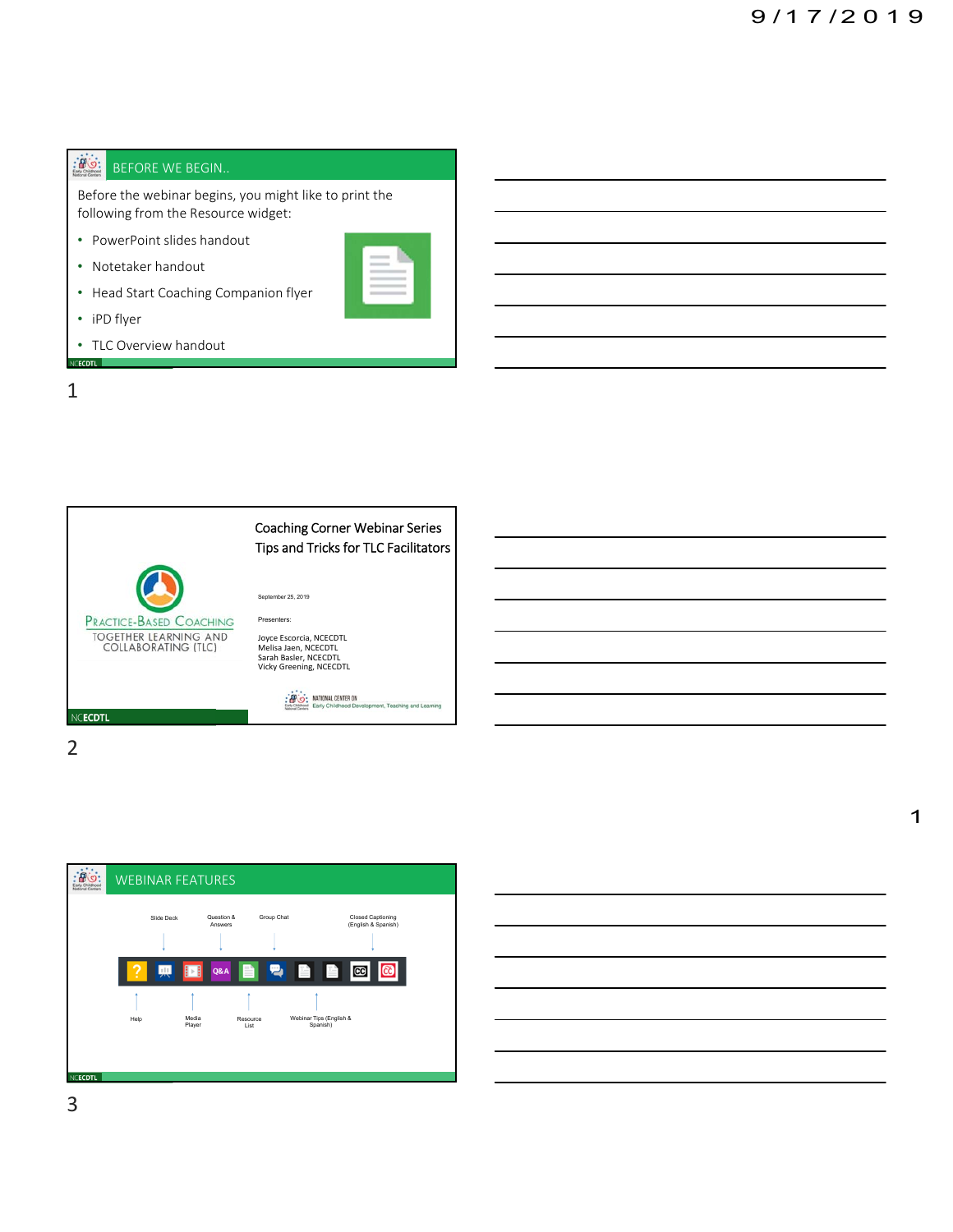## $\mathbb{R}$ BEFORE WE BEGIN..

Before the webinar begins, you might like to print the following from the Resource widget:

- PowerPoint slides handout
- Notetaker handout
- Head Start Coaching Companion flyer
- iPD flyer
- TLC Overview handout NCECDTL







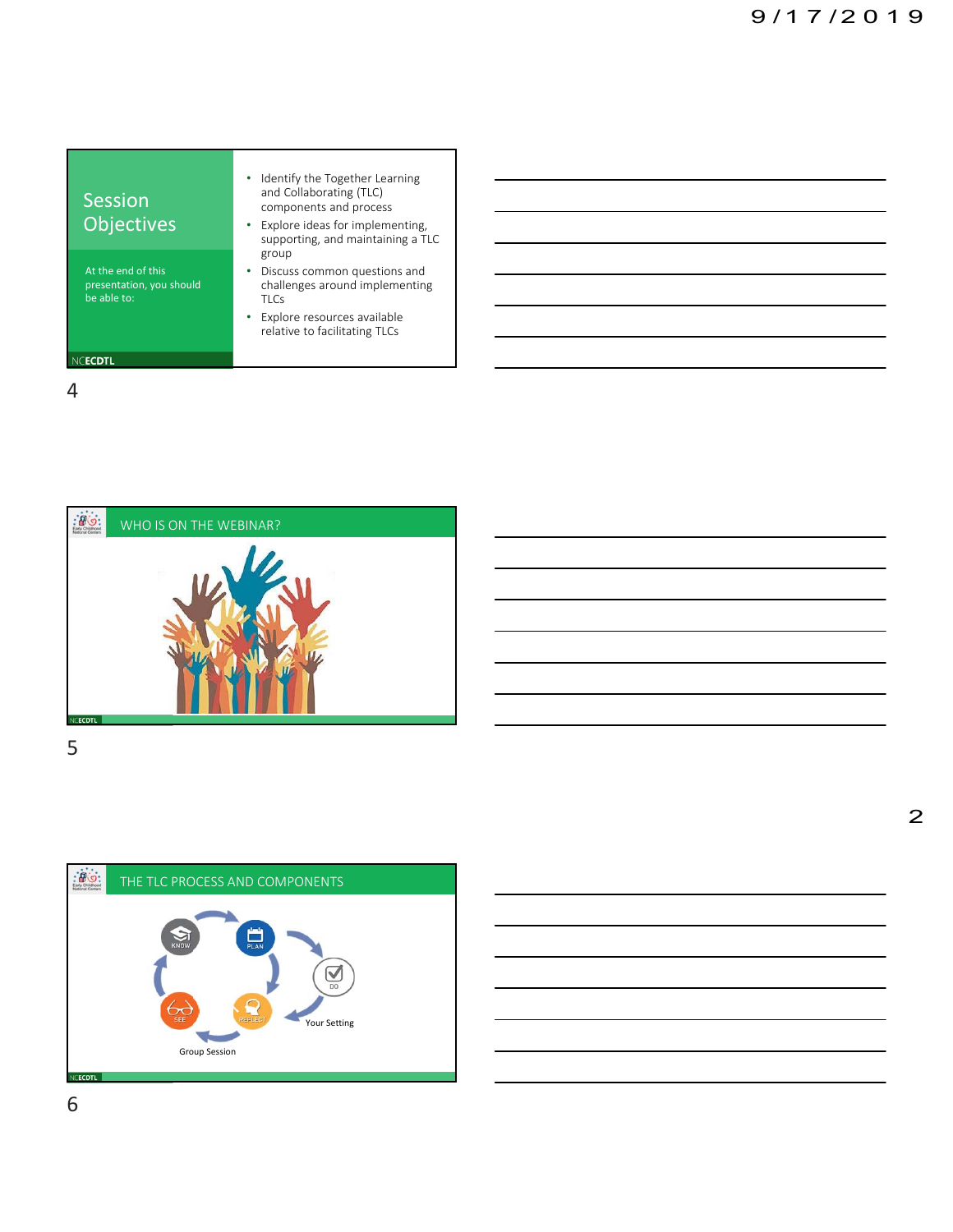





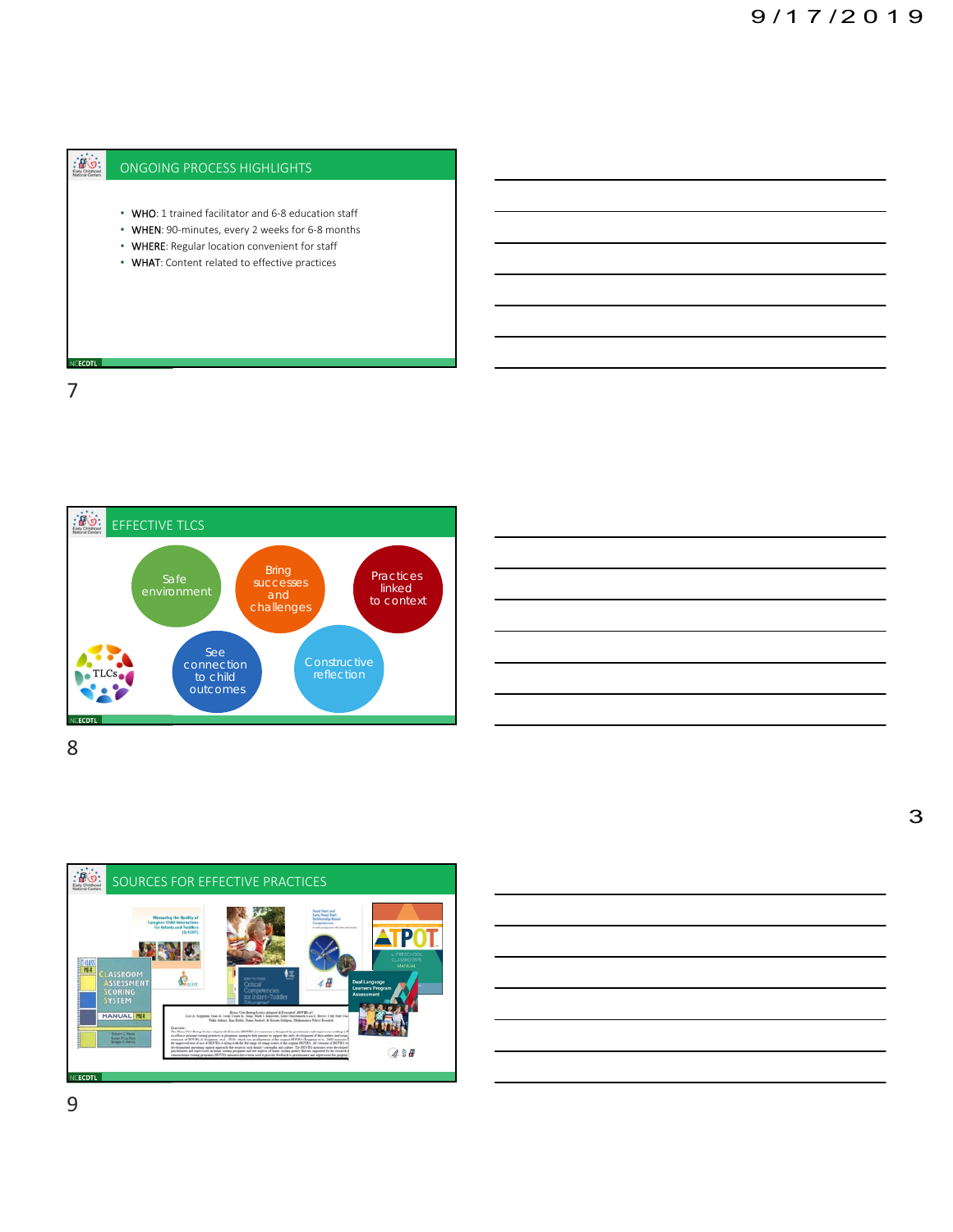









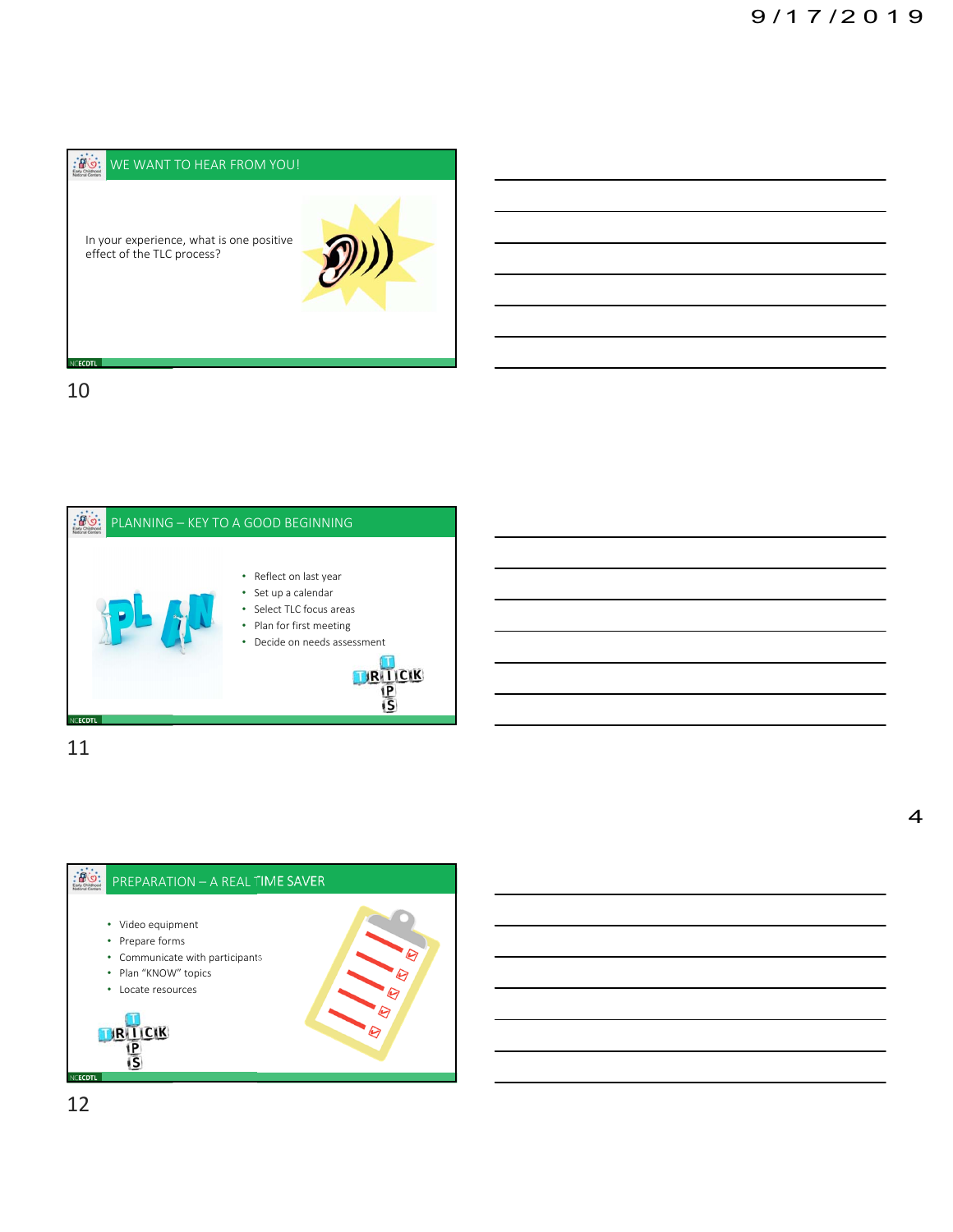



11

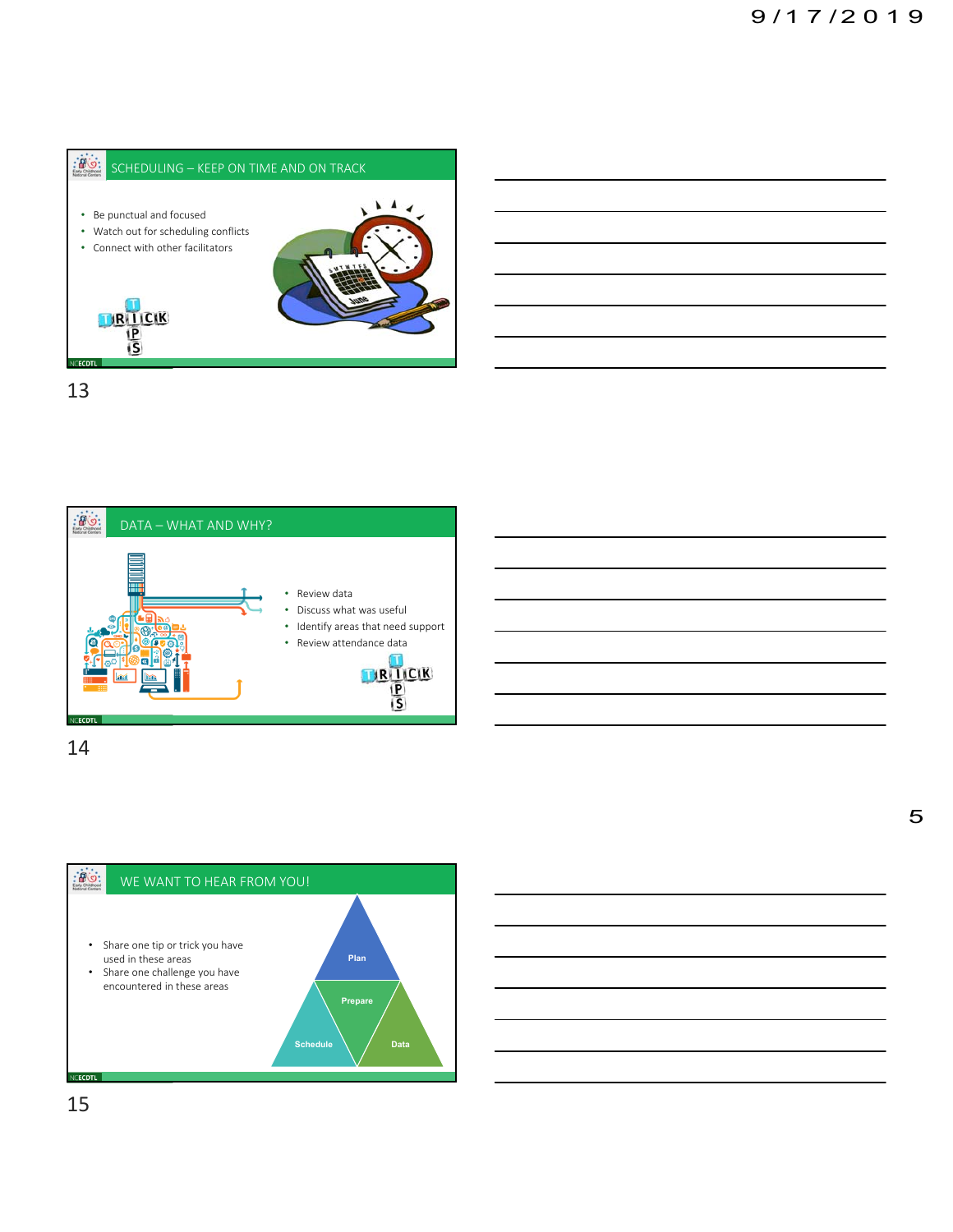



14

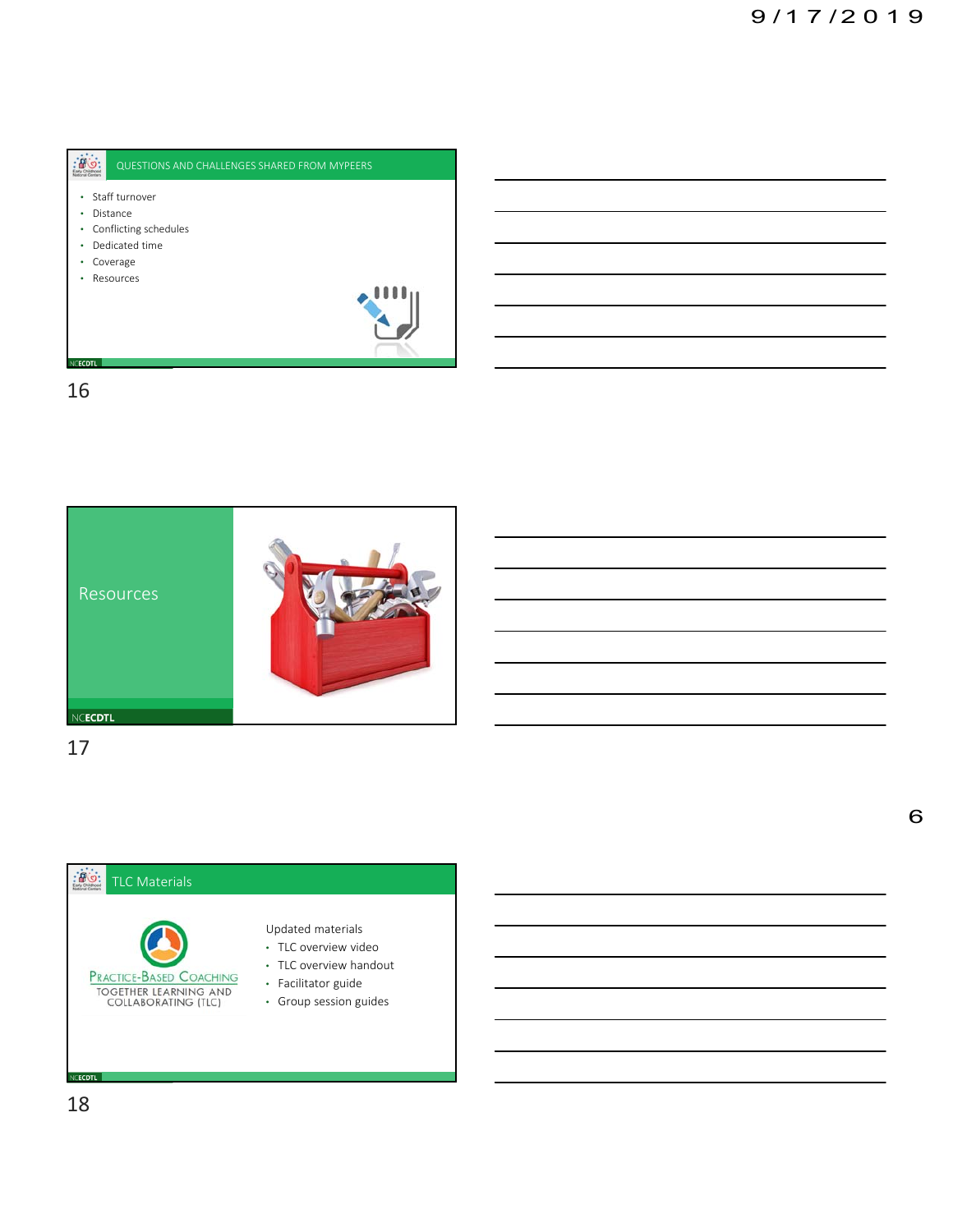





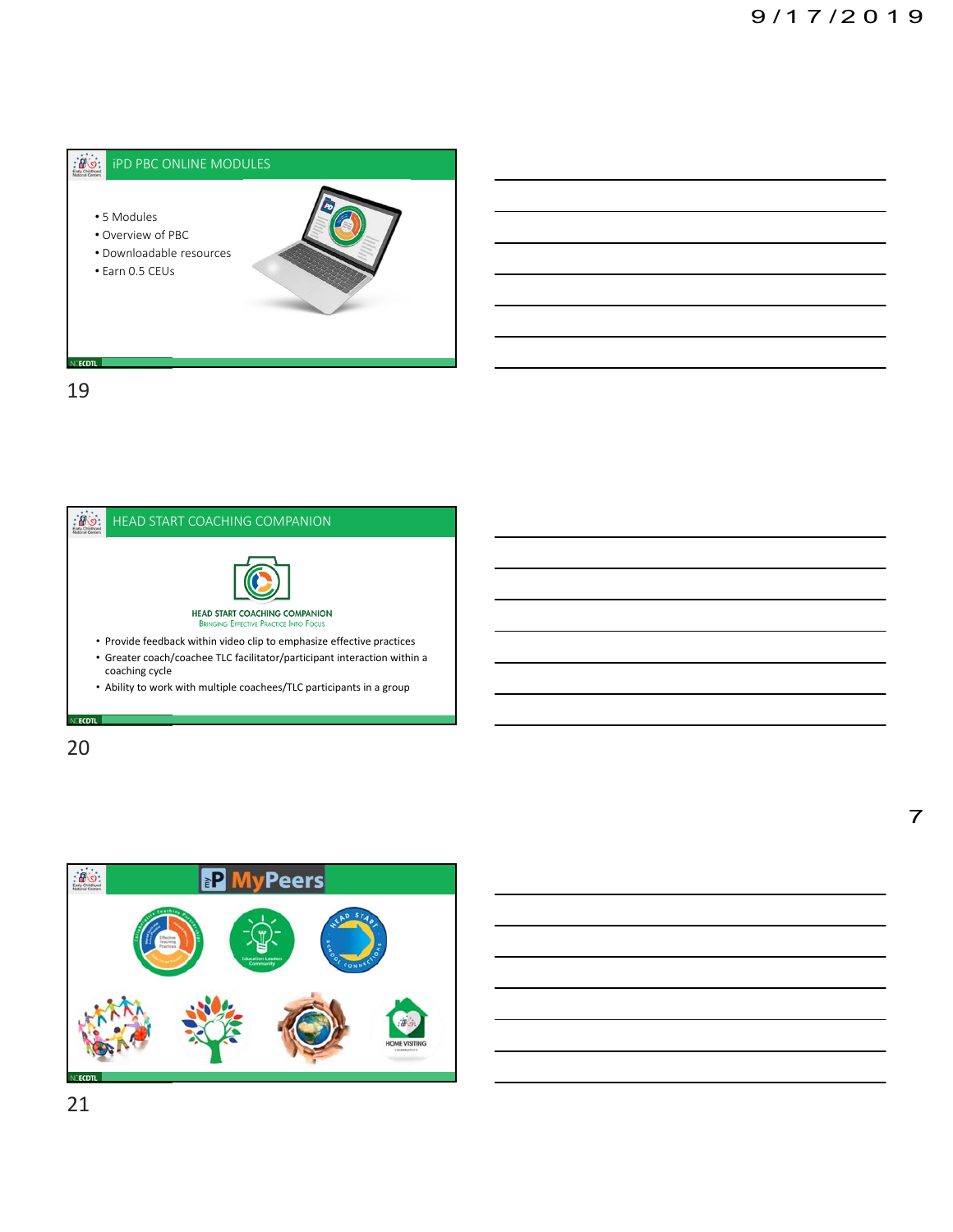

19